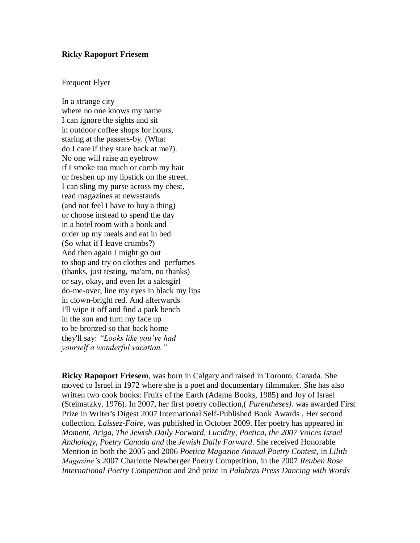## **Ricky Rapoport Friesem**

## Frequent Flyer

In a strange city where no one knows my name I can ignore the sights and sit in outdoor coffee shops for hours, staring at the passers-by. (What do I care if they stare back at me?). No one will raise an eyebrow if I smoke too much or comb my hair or freshen up my lipstick on the street. I can sling my purse across my chest, read magazines at newsstands (and not feel I have to buy a thing) or choose instead to spend the day in a hotel room with a book and order up my meals and eat in bed. (So what if I leave crumbs?) And then again I might go out to shop and try on clothes and perfumes (thanks, just testing, ma'am, no thanks) or say, okay, and even let a salesgirl do-me-over, line my eyes in black my lips in clown-bright red. And afterwards I'll wipe it off and find a park bench in the sun and turn my face up to be bronzed so that back home they'll say: *"Looks like you've had yourself a wonderful vacation."*

**Ricky Rapoport Friesem**, was born in Calgary and raised in Toronto, Canada. She moved to Israel in 1972 where she is a poet and documentary filmmaker. She has also written two cook books: Fruits of the Earth (Adama Books, 1985) and Joy of Israel (Steimatzky, 1976). In 2007, her first poetry collection,( *Parentheses)*. was awarded First Prize in Writer's Digest 2007 International Self-Published Book Awards . Her second collection. *Laissez-Faire*, was published in October 2009. Her poetry has appeared in *Moment, Ariga, The Jewish Daily Forward, Lucidity, Poetica, the 2007 Voices Israel Anthology, Poetry Canada and* the *Jewish Daily Forward*. She received Honorable Mention in both the 2005 and 2006 *Poetica Magazine Annual Poetry Contest*, in *Lilith Magazine'*s 2007 Charlotte Newberger Poetry Competition, in the 2007 *Reuben Rose International Poetry Competition* and 2nd prize in *Palabras Press Dancing with Words*